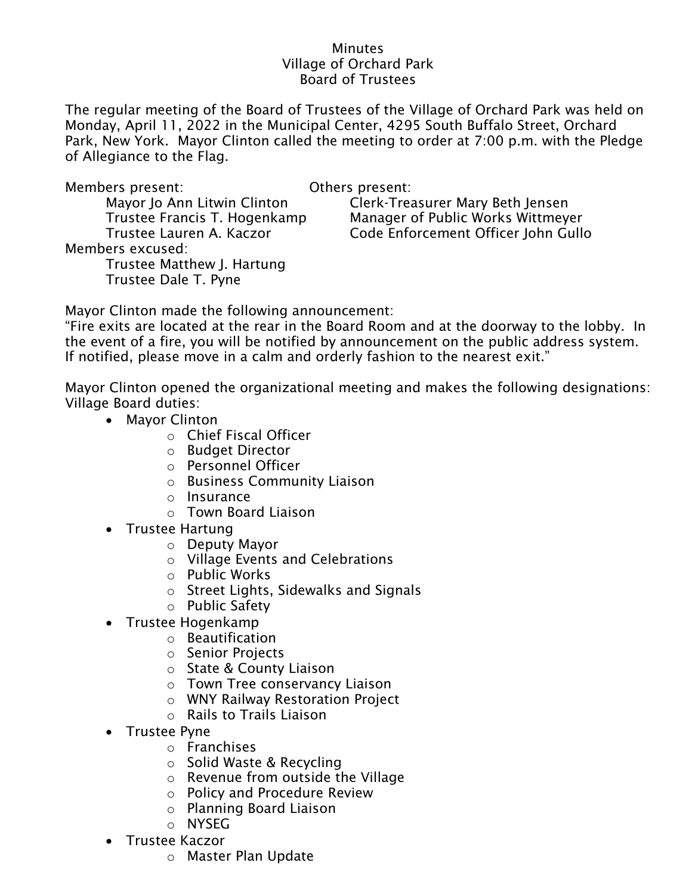## **Minutes** Village of Orchard Park Board of Trustees

The regular meeting of the Board of Trustees of the Village of Orchard Park was held on Monday, April 11, 2022 in the Municipal Center, 4295 South Buffalo Street, Orchard Park, New York. Mayor Clinton called the meeting to order at 7:00 p.m. with the Pledge of Allegiance to the Flag.

| Members present:             | Others present:                     |
|------------------------------|-------------------------------------|
| Mayor Jo Ann Litwin Clinton  | Clerk-Treasurer Mary Beth Jensen    |
| Trustee Francis T. Hogenkamp | Manager of Public Works Wittmeyer   |
| Trustee Lauren A. Kaczor     | Code Enforcement Officer John Gullo |
| Members excused:             |                                     |
| Trustee Matthew J. Hartung   |                                     |
| Trustee Dale T. Pyne         |                                     |
|                              |                                     |

Mayor Clinton made the following announcement:

"Fire exits are located at the rear in the Board Room and at the doorway to the lobby. In the event of a fire, you will be notified by announcement on the public address system. If notified, please move in a calm and orderly fashion to the nearest exit."

Mayor Clinton opened the organizational meeting and makes the following designations: Village Board duties:

- Mayor Clinton
	- o Chief Fiscal Officer
	- o Budget Director
	- o Personnel Officer
	- o Business Community Liaison
	- o Insurance
	- o Town Board Liaison
- Trustee Hartung
	- o Deputy Mayor
	- o Village Events and Celebrations
	- o Public Works
	- o Street Lights, Sidewalks and Signals
	- o Public Safety
- Trustee Hogenkamp
	- o Beautification
	- o Senior Projects
	- o State & County Liaison
	- o Town Tree conservancy Liaison
	- o WNY Railway Restoration Project
	- o Rails to Trails Liaison
- Trustee Pyne
	- o Franchises
	- o Solid Waste & Recycling
	- $\circ$  Revenue from outside the Village
	- o Policy and Procedure Review
	- o Planning Board Liaison
	- o NYSEG
- Trustee Kaczor
	- o Master Plan Update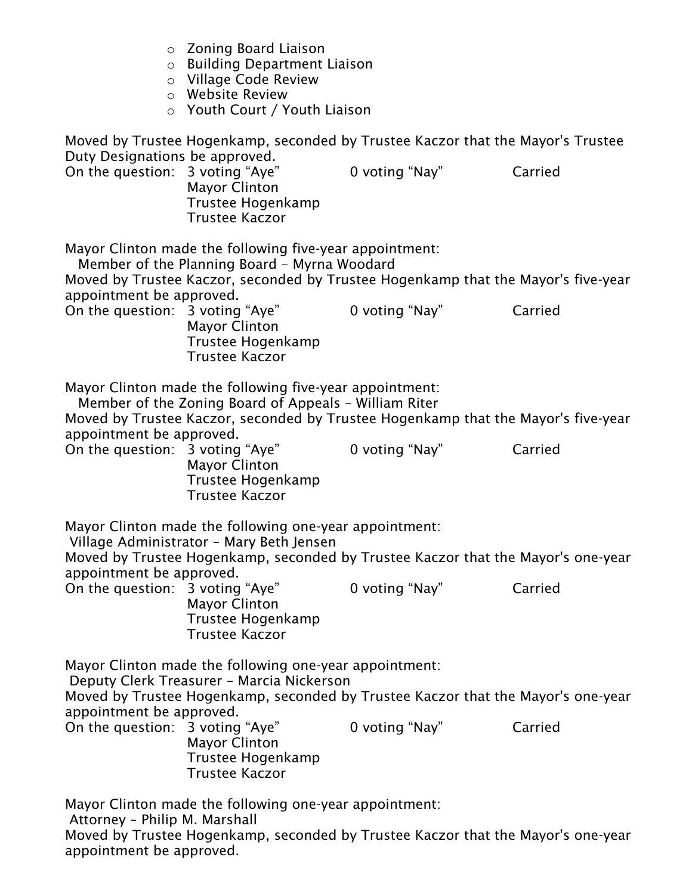o Zoning Board Liaison o Building Department Liaison o Village Code Review o Website Review o Youth Court / Youth Liaison Moved by Trustee Hogenkamp, seconded by Trustee Kaczor that the Mayor's Trustee Duty Designations be approved. On the question: 3 voting "Aye" 0 voting "Nay" Carried Mayor Clinton Trustee Hogenkamp Trustee Kaczor Mayor Clinton made the following five-year appointment: Member of the Planning Board – Myrna Woodard Moved by Trustee Kaczor, seconded by Trustee Hogenkamp that the Mayor's five-year appointment be approved. On the question: 3 voting "Aye" 0 voting "Nay" Carried Mayor Clinton Trustee Hogenkamp Trustee Kaczor Mayor Clinton made the following five-year appointment: Member of the Zoning Board of Appeals – William Riter Moved by Trustee Kaczor, seconded by Trustee Hogenkamp that the Mayor's five-year appointment be approved. On the question: 3 voting "Aye" 0 voting "Nay" Carried Mayor Clinton Trustee Hogenkamp Trustee Kaczor Mayor Clinton made the following one-year appointment: Village Administrator – Mary Beth Jensen Moved by Trustee Hogenkamp, seconded by Trustee Kaczor that the Mayor's one-year appointment be approved. On the question: 3 voting "Aye" 0 voting "Nay" Carried Mayor Clinton Trustee Hogenkamp Trustee Kaczor Mayor Clinton made the following one-year appointment: Deputy Clerk Treasurer – Marcia Nickerson Moved by Trustee Hogenkamp, seconded by Trustee Kaczor that the Mayor's one-year appointment be approved. On the question: 3 voting "Aye" 0 voting "Nay" Carried Mayor Clinton Trustee Hogenkamp Trustee Kaczor Mayor Clinton made the following one-year appointment: Attorney – Philip M. Marshall Moved by Trustee Hogenkamp, seconded by Trustee Kaczor that the Mayor's one-year

appointment be approved.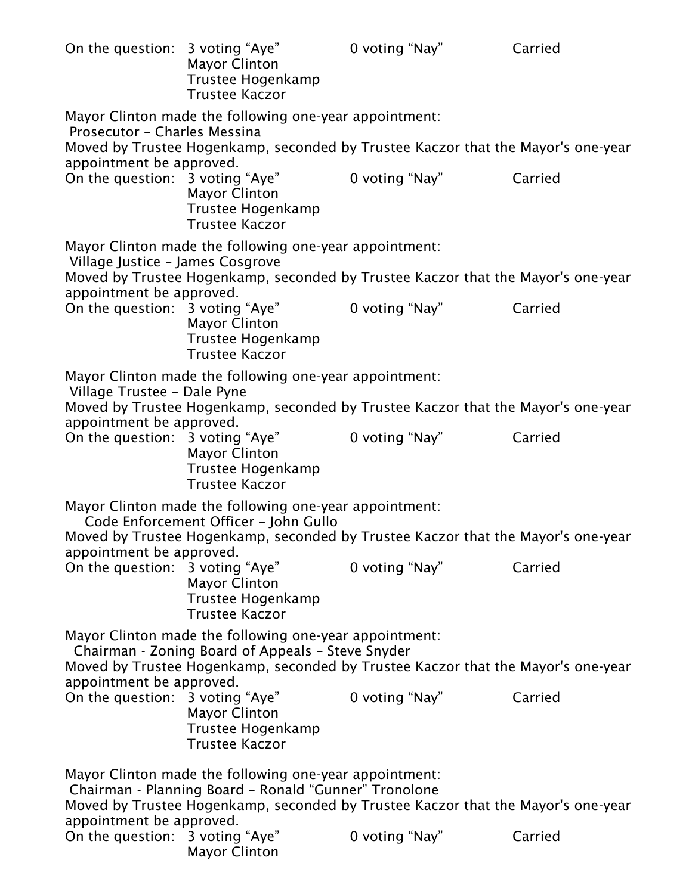| On the question: 3 voting "Aye"                                                                                                                                                                                             | <b>Mayor Clinton</b><br>Trustee Hogenkamp<br><b>Trustee Kaczor</b>                                                                                                         | 0 voting "Nay" | Carried |  |  |
|-----------------------------------------------------------------------------------------------------------------------------------------------------------------------------------------------------------------------------|----------------------------------------------------------------------------------------------------------------------------------------------------------------------------|----------------|---------|--|--|
| appointment be approved.                                                                                                                                                                                                    | Mayor Clinton made the following one-year appointment:<br>Prosecutor - Charles Messina<br>Moved by Trustee Hogenkamp, seconded by Trustee Kaczor that the Mayor's one-year |                |         |  |  |
| On the question: 3 voting "Aye"                                                                                                                                                                                             | <b>Mayor Clinton</b><br>Trustee Hogenkamp<br><b>Trustee Kaczor</b>                                                                                                         | 0 voting "Nay" | Carried |  |  |
| Village Justice - James Cosgrove                                                                                                                                                                                            | Mayor Clinton made the following one-year appointment:<br>Moved by Trustee Hogenkamp, seconded by Trustee Kaczor that the Mayor's one-year                                 |                |         |  |  |
| appointment be approved.<br>On the question: 3 voting "Aye"                                                                                                                                                                 | <b>Mayor Clinton</b><br>Trustee Hogenkamp<br><b>Trustee Kaczor</b>                                                                                                         | 0 voting "Nay" | Carried |  |  |
| Village Trustee - Dale Pyne<br>appointment be approved.                                                                                                                                                                     | Mayor Clinton made the following one-year appointment:<br>Moved by Trustee Hogenkamp, seconded by Trustee Kaczor that the Mayor's one-year                                 |                |         |  |  |
| On the question: 3 voting "Aye"                                                                                                                                                                                             | <b>Mayor Clinton</b><br>Trustee Hogenkamp<br><b>Trustee Kaczor</b>                                                                                                         | 0 voting "Nay" | Carried |  |  |
| Mayor Clinton made the following one-year appointment:<br>Code Enforcement Officer - John Gullo<br>Moved by Trustee Hogenkamp, seconded by Trustee Kaczor that the Mayor's one-year                                         |                                                                                                                                                                            |                |         |  |  |
| appointment be approved.<br>On the question: 3 voting "Aye"                                                                                                                                                                 | <b>Mayor Clinton</b><br>Trustee Hogenkamp<br><b>Trustee Kaczor</b>                                                                                                         | 0 voting "Nay" | Carried |  |  |
| Mayor Clinton made the following one-year appointment:<br>Chairman - Zoning Board of Appeals - Steve Snyder<br>Moved by Trustee Hogenkamp, seconded by Trustee Kaczor that the Mayor's one-year<br>appointment be approved. |                                                                                                                                                                            |                |         |  |  |
| On the question: 3 voting "Aye"                                                                                                                                                                                             | <b>Mayor Clinton</b><br>Trustee Hogenkamp<br><b>Trustee Kaczor</b>                                                                                                         | 0 voting "Nay" | Carried |  |  |
| Mayor Clinton made the following one-year appointment:<br>Chairman - Planning Board - Ronald "Gunner" Tronolone<br>Moved by Trustee Hogenkamp, seconded by Trustee Kaczor that the Mayor's one-year                         |                                                                                                                                                                            |                |         |  |  |
| appointment be approved.<br>On the question: 3 voting "Aye"                                                                                                                                                                 | <b>Mayor Clinton</b>                                                                                                                                                       | 0 voting "Nay" | Carried |  |  |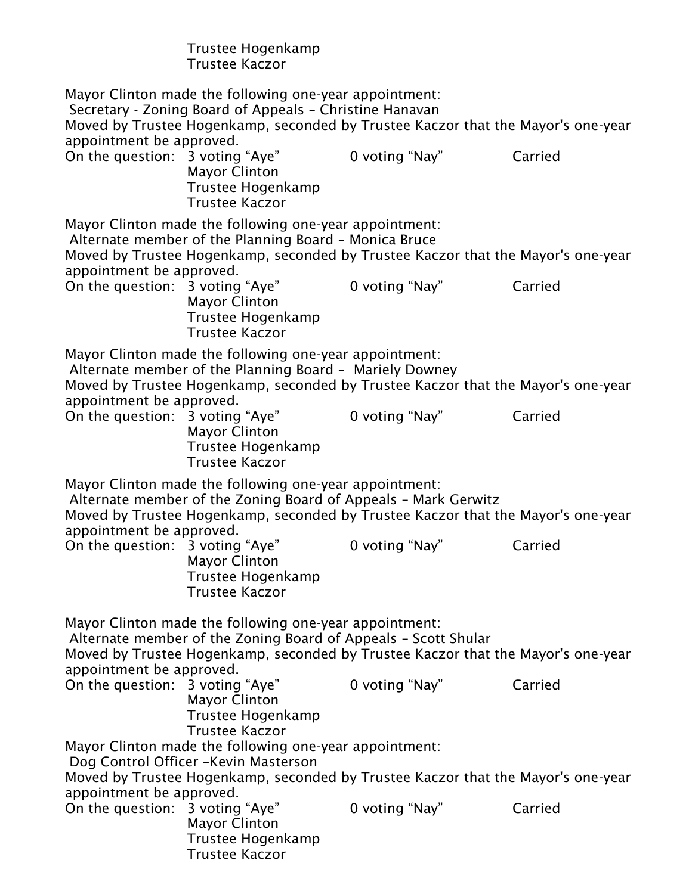|                                                                                                                                                                                                                                          | Trustee Hogenkamp<br><b>Trustee Kaczor</b>                                                                                                                                                            |                |         |  |
|------------------------------------------------------------------------------------------------------------------------------------------------------------------------------------------------------------------------------------------|-------------------------------------------------------------------------------------------------------------------------------------------------------------------------------------------------------|----------------|---------|--|
| appointment be approved.                                                                                                                                                                                                                 | Mayor Clinton made the following one-year appointment:<br>Secretary - Zoning Board of Appeals - Christine Hanavan<br>Moved by Trustee Hogenkamp, seconded by Trustee Kaczor that the Mayor's one-year |                |         |  |
| On the question: 3 voting "Aye"                                                                                                                                                                                                          | <b>Mayor Clinton</b><br>Trustee Hogenkamp<br><b>Trustee Kaczor</b>                                                                                                                                    | 0 voting "Nay" | Carried |  |
|                                                                                                                                                                                                                                          | Mayor Clinton made the following one-year appointment:<br>Alternate member of the Planning Board - Monica Bruce                                                                                       |                |         |  |
| appointment be approved.                                                                                                                                                                                                                 | Moved by Trustee Hogenkamp, seconded by Trustee Kaczor that the Mayor's one-year                                                                                                                      |                |         |  |
| On the question: 3 voting "Aye"                                                                                                                                                                                                          | <b>Mayor Clinton</b><br><b>Trustee Hogenkamp</b><br><b>Trustee Kaczor</b>                                                                                                                             | 0 voting "Nay" | Carried |  |
|                                                                                                                                                                                                                                          | Mayor Clinton made the following one-year appointment:<br>Alternate member of the Planning Board - Mariely Downey<br>Moved by Trustee Hogenkamp, seconded by Trustee Kaczor that the Mayor's one-year |                |         |  |
| appointment be approved.<br>On the question: 3 voting "Aye"                                                                                                                                                                              | <b>Mayor Clinton</b><br>Trustee Hogenkamp<br><b>Trustee Kaczor</b>                                                                                                                                    | 0 voting "Nay" | Carried |  |
| Mayor Clinton made the following one-year appointment:<br>Alternate member of the Zoning Board of Appeals - Mark Gerwitz<br>Moved by Trustee Hogenkamp, seconded by Trustee Kaczor that the Mayor's one-year<br>appointment be approved. |                                                                                                                                                                                                       |                |         |  |
| On the question: 3 voting "Aye"                                                                                                                                                                                                          | <b>Mayor Clinton</b><br>Trustee Hogenkamp<br><b>Trustee Kaczor</b>                                                                                                                                    | 0 voting "Nay" | Carried |  |
| Mayor Clinton made the following one-year appointment:<br>Alternate member of the Zoning Board of Appeals - Scott Shular<br>Moved by Trustee Hogenkamp, seconded by Trustee Kaczor that the Mayor's one-year                             |                                                                                                                                                                                                       |                |         |  |
| appointment be approved.<br>On the question: 3 voting "Aye"                                                                                                                                                                              | <b>Mayor Clinton</b><br>Trustee Hogenkamp<br><b>Trustee Kaczor</b>                                                                                                                                    | 0 voting "Nay" | Carried |  |
|                                                                                                                                                                                                                                          | Mayor Clinton made the following one-year appointment:<br>Dog Control Officer - Kevin Masterson                                                                                                       |                |         |  |
| appointment be approved.                                                                                                                                                                                                                 | Moved by Trustee Hogenkamp, seconded by Trustee Kaczor that the Mayor's one-year                                                                                                                      |                |         |  |
| On the question: 3 voting "Aye"                                                                                                                                                                                                          | <b>Mayor Clinton</b><br>Trustee Hogenkamp<br><b>Trustee Kaczor</b>                                                                                                                                    | 0 voting "Nay" | Carried |  |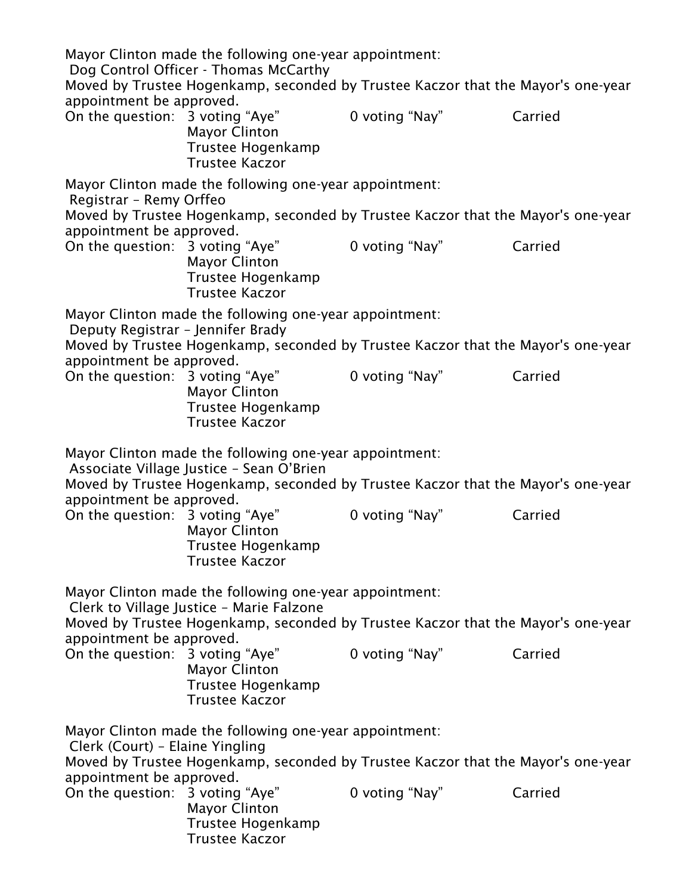Mayor Clinton made the following one-year appointment: Dog Control Officer - Thomas McCarthy Moved by Trustee Hogenkamp, seconded by Trustee Kaczor that the Mayor's one-year appointment be approved. On the question: 3 voting "Aye" 0 voting "Nay" Carried Mayor Clinton Trustee Hogenkamp Trustee Kaczor Mayor Clinton made the following one-year appointment: Registrar – Remy Orffeo Moved by Trustee Hogenkamp, seconded by Trustee Kaczor that the Mayor's one-year appointment be approved. On the question: 3 voting "Aye" 0 voting "Nay" Carried Mayor Clinton Trustee Hogenkamp Trustee Kaczor Mayor Clinton made the following one-year appointment: Deputy Registrar – Jennifer Brady Moved by Trustee Hogenkamp, seconded by Trustee Kaczor that the Mayor's one-year appointment be approved. On the question: 3 voting "Aye" 0 voting "Nay" Carried Mayor Clinton Trustee Hogenkamp Trustee Kaczor Mayor Clinton made the following one-year appointment: Associate Village Justice – Sean O'Brien Moved by Trustee Hogenkamp, seconded by Trustee Kaczor that the Mayor's one-year appointment be approved. On the question: 3 voting "Aye" 0 voting "Nay" Carried Mayor Clinton Trustee Hogenkamp Trustee Kaczor Mayor Clinton made the following one-year appointment: Clerk to Village Justice – Marie Falzone Moved by Trustee Hogenkamp, seconded by Trustee Kaczor that the Mayor's one-year appointment be approved. On the question: 3 voting "Aye" 0 voting "Nay" Carried Mayor Clinton Trustee Hogenkamp Trustee Kaczor Mayor Clinton made the following one-year appointment: Clerk (Court) – Elaine Yingling Moved by Trustee Hogenkamp, seconded by Trustee Kaczor that the Mayor's one-year appointment be approved. On the question: 3 voting "Aye" 0 voting "Nay" Carried Mayor Clinton Trustee Hogenkamp Trustee Kaczor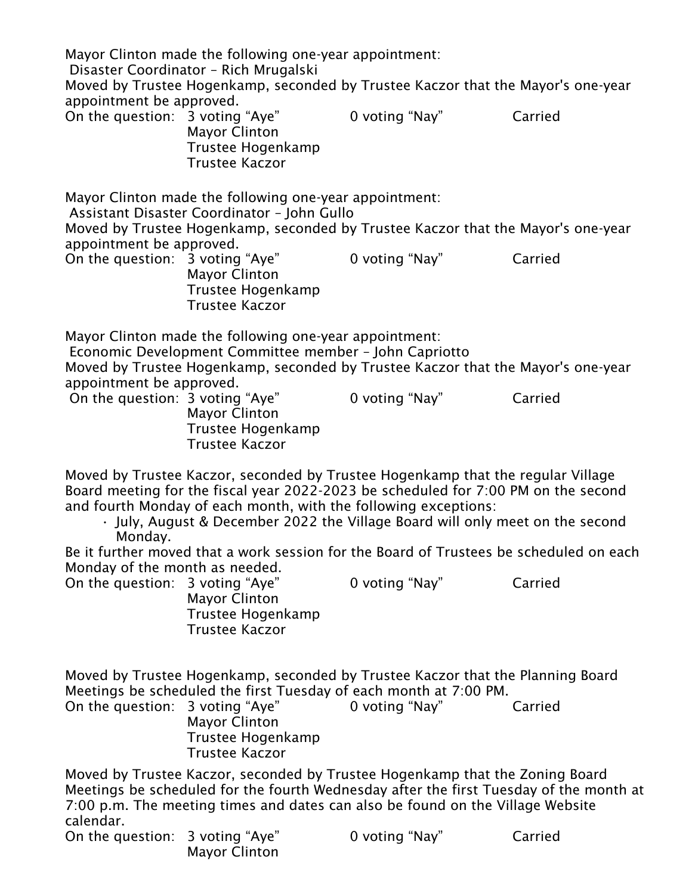|                                                                   | Mayor Clinton made the following one-year appointment:<br>Disaster Coordinator - Rich Mrugalski                  | Moved by Trustee Hogenkamp, seconded by Trustee Kaczor that the Mayor's one-year                                                                                                                                                                         |         |
|-------------------------------------------------------------------|------------------------------------------------------------------------------------------------------------------|----------------------------------------------------------------------------------------------------------------------------------------------------------------------------------------------------------------------------------------------------------|---------|
| appointment be approved.<br>On the question: 3 voting "Aye"       | <b>Mayor Clinton</b><br>Trustee Hogenkamp<br><b>Trustee Kaczor</b>                                               | 0 voting "Nay"                                                                                                                                                                                                                                           | Carried |
|                                                                   | Mayor Clinton made the following one-year appointment:<br>Assistant Disaster Coordinator - John Gullo            | Moved by Trustee Hogenkamp, seconded by Trustee Kaczor that the Mayor's one-year                                                                                                                                                                         |         |
| appointment be approved.                                          |                                                                                                                  |                                                                                                                                                                                                                                                          |         |
| On the question: 3 voting "Aye"                                   | <b>Mayor Clinton</b><br>Trustee Hogenkamp<br><b>Trustee Kaczor</b>                                               | 0 voting "Nay"                                                                                                                                                                                                                                           | Carried |
| appointment be approved.                                          | Mayor Clinton made the following one-year appointment:<br>Economic Development Committee member - John Capriotto | Moved by Trustee Hogenkamp, seconded by Trustee Kaczor that the Mayor's one-year                                                                                                                                                                         |         |
| On the question: 3 voting "Aye"                                   | <b>Mayor Clinton</b><br>Trustee Hogenkamp<br><b>Trustee Kaczor</b>                                               | 0 voting "Nay"                                                                                                                                                                                                                                           | Carried |
| Monday.                                                           | and fourth Monday of each month, with the following exceptions:                                                  | Moved by Trustee Kaczor, seconded by Trustee Hogenkamp that the regular Village<br>Board meeting for the fiscal year 2022-2023 be scheduled for 7:00 PM on the second<br>· July, August & December 2022 the Village Board will only meet on the second   |         |
|                                                                   |                                                                                                                  | Be it further moved that a work session for the Board of Trustees be scheduled on each                                                                                                                                                                   |         |
| Monday of the month as needed.<br>On the question: 3 voting "Aye" | <b>Mayor Clinton</b><br>Trustee Hogenkamp<br><b>Trustee Kaczor</b>                                               | 0 voting "Nay"                                                                                                                                                                                                                                           | Carried |
| On the question: 3 voting "Aye"                                   | <b>Mayor Clinton</b><br>Trustee Hogenkamp<br><b>Trustee Kaczor</b>                                               | Moved by Trustee Hogenkamp, seconded by Trustee Kaczor that the Planning Board<br>Meetings be scheduled the first Tuesday of each month at 7:00 PM.<br>0 voting "Nay"                                                                                    | Carried |
| calendar.                                                         |                                                                                                                  | Moved by Trustee Kaczor, seconded by Trustee Hogenkamp that the Zoning Board<br>Meetings be scheduled for the fourth Wednesday after the first Tuesday of the month at<br>7:00 p.m. The meeting times and dates can also be found on the Village Website |         |
| On the question: 3 voting "Aye"                                   | <b>Mayor Clinton</b>                                                                                             | 0 voting "Nay"                                                                                                                                                                                                                                           | Carried |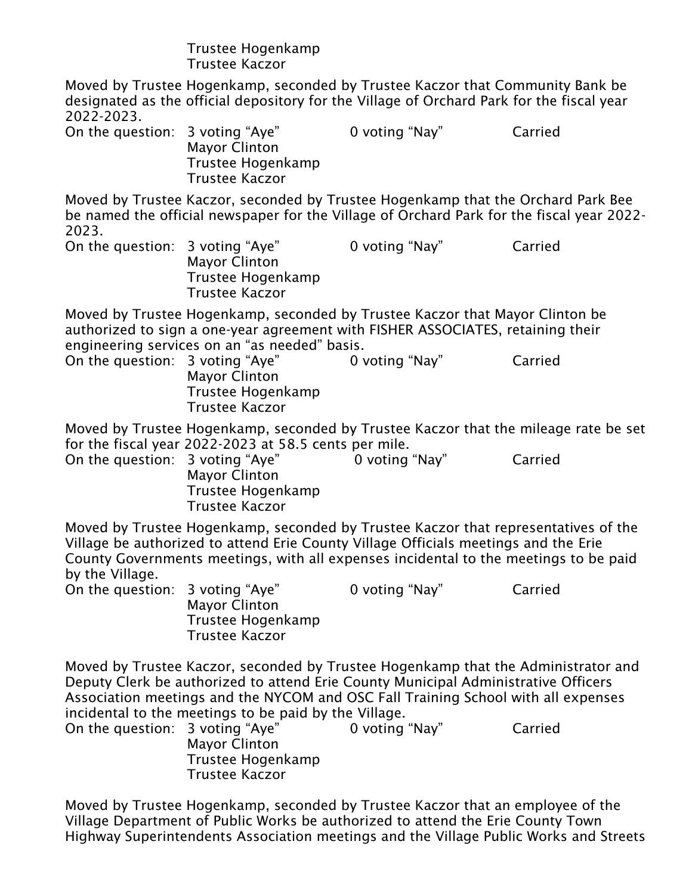## Trustee Hogenkamp Trustee Kaczor

Moved by Trustee Hogenkamp, seconded by Trustee Kaczor that Community Bank be designated as the official depository for the Village of Orchard Park for the fiscal year 2022-2023.

On the question: 3 voting "Aye" 0 voting "Nay" Carried Mayor Clinton Trustee Hogenkamp Trustee Kaczor

Moved by Trustee Kaczor, seconded by Trustee Hogenkamp that the Orchard Park Bee be named the official newspaper for the Village of Orchard Park for the fiscal year 2022- 2023.

On the question: 3 voting "Aye" 0 voting "Nay" Carried Mayor Clinton Trustee Hogenkamp Trustee Kaczor

Moved by Trustee Hogenkamp, seconded by Trustee Kaczor that Mayor Clinton be authorized to sign a one-year agreement with FISHER ASSOCIATES, retaining their engineering services on an "as needed" basis.

On the question: 3 voting "Aye" 0 voting "Nay" Carried Mayor Clinton Trustee Hogenkamp Trustee Kaczor

Moved by Trustee Hogenkamp, seconded by Trustee Kaczor that the mileage rate be set for the fiscal year 2022-2023 at 58.5 cents per mile.

On the question: 3 voting "Aye" 0 voting "Nay" Carried Mayor Clinton Trustee Hogenkamp Trustee Kaczor

Moved by Trustee Hogenkamp, seconded by Trustee Kaczor that representatives of the Village be authorized to attend Erie County Village Officials meetings and the Erie County Governments meetings, with all expenses incidental to the meetings to be paid by the Village.

On the question: 3 voting "Aye" 0 voting "Nay" Carried Mayor Clinton Trustee Hogenkamp Trustee Kaczor

Moved by Trustee Kaczor, seconded by Trustee Hogenkamp that the Administrator and Deputy Clerk be authorized to attend Erie County Municipal Administrative Officers Association meetings and the NYCOM and OSC Fall Training School with all expenses incidental to the meetings to be paid by the Village.

| On the question: 3 voting "Aye" |                      | 0 voting "Nay" | Carried |
|---------------------------------|----------------------|----------------|---------|
|                                 | <b>Mayor Clinton</b> |                |         |
|                                 | Trustee Hogenkamp    |                |         |
|                                 | Trustee Kaczor       |                |         |

Moved by Trustee Hogenkamp, seconded by Trustee Kaczor that an employee of the Village Department of Public Works be authorized to attend the Erie County Town Highway Superintendents Association meetings and the Village Public Works and Streets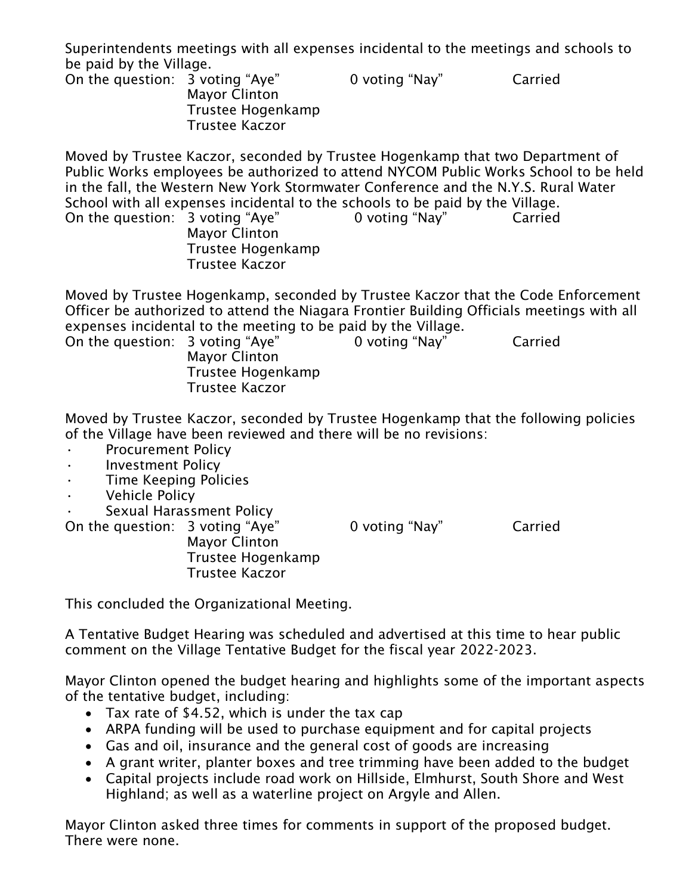Superintendents meetings with all expenses incidental to the meetings and schools to be paid by the Village.

On the question: 3 voting "Aye" 0 voting "Nay" Carried Mayor Clinton Trustee Hogenkamp Trustee Kaczor

Moved by Trustee Kaczor, seconded by Trustee Hogenkamp that two Department of Public Works employees be authorized to attend NYCOM Public Works School to be held in the fall, the Western New York Stormwater Conference and the N.Y.S. Rural Water School with all expenses incidental to the schools to be paid by the Village. On the question: 3 voting "Aye" 0 voting "Nay" Carried Mayor Clinton Trustee Hogenkamp Trustee Kaczor

Moved by Trustee Hogenkamp, seconded by Trustee Kaczor that the Code Enforcement Officer be authorized to attend the Niagara Frontier Building Officials meetings with all expenses incidental to the meeting to be paid by the Village.

On the question: 3 voting "Aye" 0 voting "Nay" Carried Mayor Clinton Trustee Hogenkamp Trustee Kaczor

Moved by Trustee Kaczor, seconded by Trustee Hogenkamp that the following policies of the Village have been reviewed and there will be no revisions:

- Procurement Policy
- Investment Policy
- Time Keeping Policies
- Vehicle Policy
- Sexual Harassment Policy

On the question: 3 voting "Aye" 0 voting "Nay" Carried

Mayor Clinton Trustee Hogenkamp Trustee Kaczor

This concluded the Organizational Meeting.

A Tentative Budget Hearing was scheduled and advertised at this time to hear public comment on the Village Tentative Budget for the fiscal year 2022-2023.

Mayor Clinton opened the budget hearing and highlights some of the important aspects of the tentative budget, including:

- Tax rate of \$4.52, which is under the tax cap
- ARPA funding will be used to purchase equipment and for capital projects
- Gas and oil, insurance and the general cost of goods are increasing
- A grant writer, planter boxes and tree trimming have been added to the budget
- Capital projects include road work on Hillside, Elmhurst, South Shore and West Highland; as well as a waterline project on Argyle and Allen.

Mayor Clinton asked three times for comments in support of the proposed budget. There were none.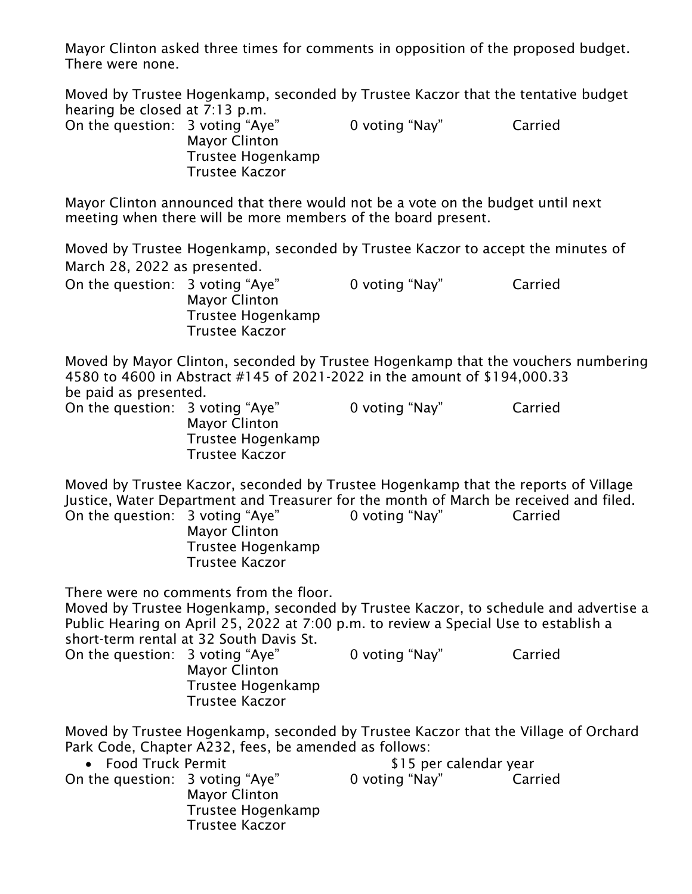Mayor Clinton asked three times for comments in opposition of the proposed budget. There were none.

Moved by Trustee Hogenkamp, seconded by Trustee Kaczor that the tentative budget hearing be closed at 7:13 p.m.

| On the question: 3 voting "Aye" | <b>Mayor Clinton</b>  | 0 voting "Nay" | Carried |
|---------------------------------|-----------------------|----------------|---------|
|                                 | Trustee Hogenkamp     |                |         |
|                                 | <b>Trustee Kaczor</b> |                |         |

Mayor Clinton announced that there would not be a vote on the budget until next meeting when there will be more members of the board present.

Moved by Trustee Hogenkamp, seconded by Trustee Kaczor to accept the minutes of March 28, 2022 as presented.

On the question: 3 voting "Aye" 0 voting "Nay" Carried Mayor Clinton Trustee Hogenkamp Trustee Kaczor

Moved by Mayor Clinton, seconded by Trustee Hogenkamp that the vouchers numbering 4580 to 4600 in Abstract #145 of 2021-2022 in the amount of \$194,000.33 be paid as presented. On the question: 3 voting "Aye" 0 voting "Nay" Carried

Mayor Clinton Trustee Hogenkamp Trustee Kaczor

Moved by Trustee Kaczor, seconded by Trustee Hogenkamp that the reports of Village Justice, Water Department and Treasurer for the month of March be received and filed. On the question: 3 voting "Aye" 0 voting "Nay" Carried Mayor Clinton

Trustee Hogenkamp Trustee Kaczor

There were no comments from the floor.

Moved by Trustee Hogenkamp, seconded by Trustee Kaczor, to schedule and advertise a Public Hearing on April 25, 2022 at 7:00 p.m. to review a Special Use to establish a short-term rental at 32 South Davis St.

On the question: 3 voting "Aye" 0 voting "Nay" Carried Mayor Clinton Trustee Hogenkamp Trustee Kaczor

Moved by Trustee Hogenkamp, seconded by Trustee Kaczor that the Village of Orchard Park Code, Chapter A232, fees, be amended as follows:

| • Food Truck Permit             |                                                             | \$15 per calendar year |         |
|---------------------------------|-------------------------------------------------------------|------------------------|---------|
| On the question: 3 voting "Aye" | <b>Mayor Clinton</b><br>Trustee Hogenkamp<br>Trustee Kaczor | 0 voting "Nay"         | Carried |